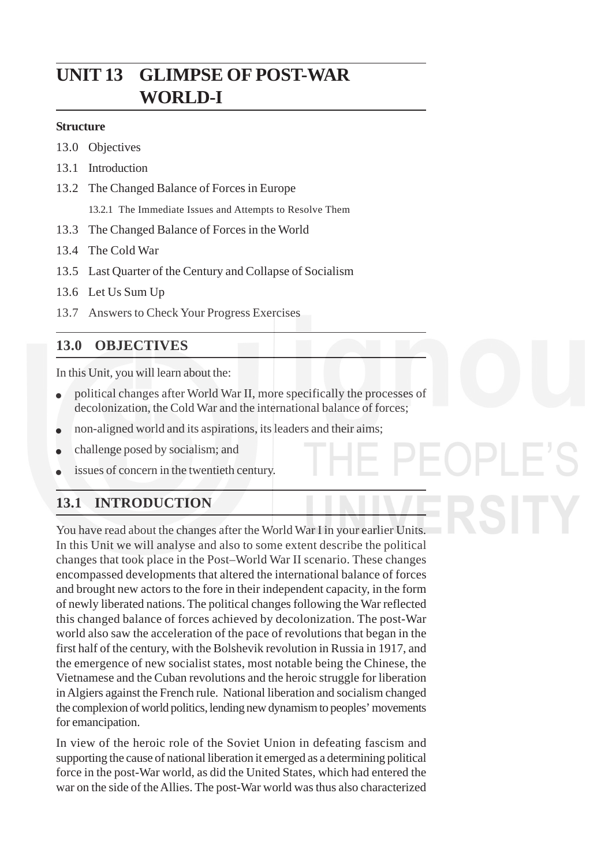# **UNIT 13 GLIMPSE OF POST-WAR WORLD-I**

#### **Structure**

- 13.0 Objectives
- 13.1 Introduction
- 13.2 The Changed Balance of Forces in Europe

13.2.1 The Immediate Issues and Attempts to Resolve Them

- 13.3 The Changed Balance of Forces in the World
- 13.4 The Cold War
- 13.5 Last Quarter of the Century and Collapse of Socialism
- 13.6 Let Us Sum Up
- 13.7 Answers to Check Your Progress Exercises

### **13.0 OBJECTIVES**

In this Unit, you will learn about the:

- political changes after World War II, more specifically the processes of decolonization, the Cold War and the international balance of forces;
- non-aligned world and its aspirations, its leaders and their aims;
- challenge posed by socialism; and
- issues of concern in the twentieth century.

# **13.1 INTRODUCTION**

You have read about the changes after the World War I in your earlier Units. In this Unit we will analyse and also to some extent describe the political changes that took place in the Post–World War II scenario. These changes encompassed developments that altered the international balance of forces and brought new actors to the fore in their independent capacity, in the form of newly liberated nations. The political changes following the War reflected this changed balance of forces achieved by decolonization. The post-War world also saw the acceleration of the pace of revolutions that began in the first half of the century, with the Bolshevik revolution in Russia in 1917, and the emergence of new socialist states, most notable being the Chinese, the Vietnamese and the Cuban revolutions and the heroic struggle for liberation in Algiers against the French rule. National liberation and socialism changed the complexion of world politics, lending new dynamism to peoples' movements for emancipation.

In view of the heroic role of the Soviet Union in defeating fascism and supporting the cause of national liberation it emerged as a determining political force in the post-War world, as did the United States, which had entered the war on the side of the Allies. The post-War world was thus also characterized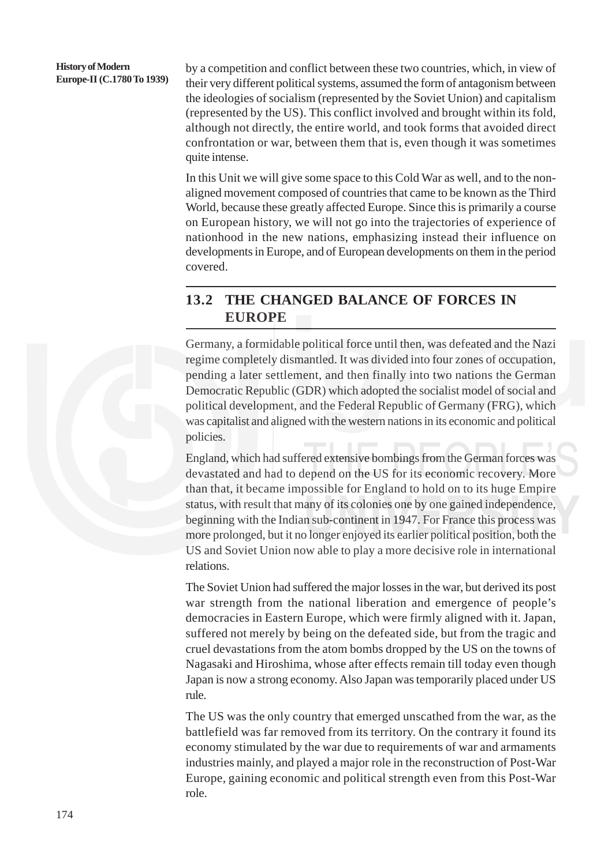#### **History of Modern Europe-II (C.1780 To 1939)**

by a competition and conflict between these two countries, which, in view of their very different political systems, assumed the form of antagonism between the ideologies of socialism (represented by the Soviet Union) and capitalism (represented by the US). This conflict involved and brought within its fold, although not directly, the entire world, and took forms that avoided direct confrontation or war, between them that is, even though it was sometimes quite intense.

In this Unit we will give some space to this Cold War as well, and to the nonaligned movement composed of countries that came to be known as the Third World, because these greatly affected Europe. Since this is primarily a course on European history, we will not go into the trajectories of experience of nationhood in the new nations, emphasizing instead their influence on developments in Europe, and of European developments on them in the period covered.

### **13.2 THE CHANGED BALANCE OF FORCES IN EUROPE**

Germany, a formidable political force until then, was defeated and the Nazi regime completely dismantled. It was divided into four zones of occupation, pending a later settlement, and then finally into two nations the German Democratic Republic (GDR) which adopted the socialist model of social and political development, and the Federal Republic of Germany (FRG), which was capitalist and aligned with the western nations in its economic and political policies.

England, which had suffered extensive bombings from the German forces was devastated and had to depend on the US for its economic recovery. More than that, it became impossible for England to hold on to its huge Empire status, with result that many of its colonies one by one gained independence, beginning with the Indian sub-continent in 1947. For France this process was more prolonged, but it no longer enjoyed its earlier political position, both the US and Soviet Union now able to play a more decisive role in international relations.

The Soviet Union had suffered the major losses in the war, but derived its post war strength from the national liberation and emergence of people's democracies in Eastern Europe, which were firmly aligned with it. Japan, suffered not merely by being on the defeated side, but from the tragic and cruel devastations from the atom bombs dropped by the US on the towns of Nagasaki and Hiroshima, whose after effects remain till today even though Japan is now a strong economy. Also Japan was temporarily placed under US rule.

The US was the only country that emerged unscathed from the war, as the battlefield was far removed from its territory. On the contrary it found its economy stimulated by the war due to requirements of war and armaments industries mainly, and played a major role in the reconstruction of Post-War Europe, gaining economic and political strength even from this Post-War role.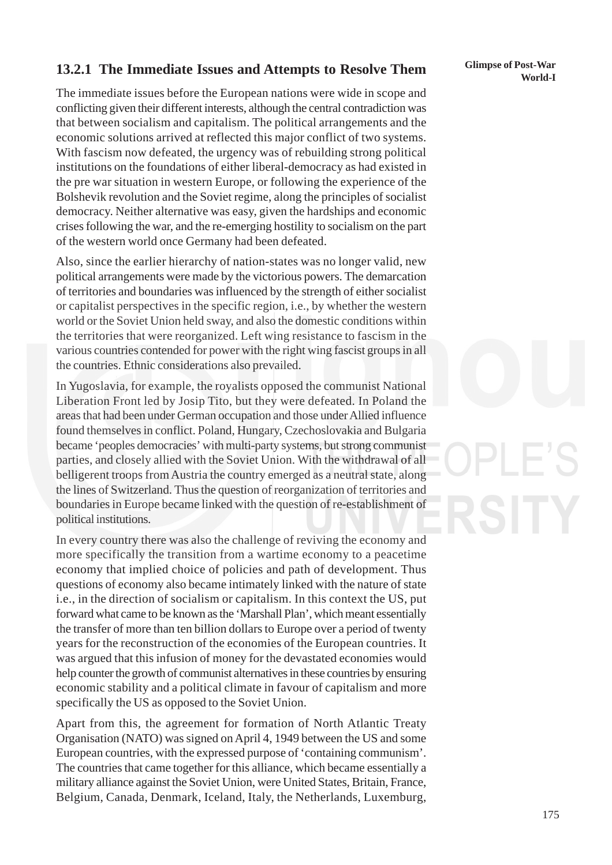# **13.2.1 The Immediate Issues and Attempts to Resolve Them** Glimpse of Post-War World-I

The immediate issues before the European nations were wide in scope and conflicting given their different interests, although the central contradiction was that between socialism and capitalism. The political arrangements and the economic solutions arrived at reflected this major conflict of two systems. With fascism now defeated, the urgency was of rebuilding strong political institutions on the foundations of either liberal-democracy as had existed in the pre war situation in western Europe, or following the experience of the Bolshevik revolution and the Soviet regime, along the principles of socialist democracy. Neither alternative was easy, given the hardships and economic crises following the war, and the re-emerging hostility to socialism on the part of the western world once Germany had been defeated.

Also, since the earlier hierarchy of nation-states was no longer valid, new political arrangements were made by the victorious powers. The demarcation of territories and boundaries was influenced by the strength of either socialist or capitalist perspectives in the specific region, i.e., by whether the western world or the Soviet Union held sway, and also the domestic conditions within the territories that were reorganized. Left wing resistance to fascism in the various countries contended for power with the right wing fascist groups in all the countries. Ethnic considerations also prevailed.

In Yugoslavia, for example, the royalists opposed the communist National Liberation Front led by Josip Tito, but they were defeated. In Poland the areas that had been under German occupation and those under Allied influence found themselves in conflict. Poland, Hungary, Czechoslovakia and Bulgaria became 'peoples democracies' with multi-party systems, but strong communist parties, and closely allied with the Soviet Union. With the withdrawal of all belligerent troops from Austria the country emerged as a neutral state, along the lines of Switzerland. Thus the question of reorganization of territories and boundaries in Europe became linked with the question of re-establishment of political institutions.

In every country there was also the challenge of reviving the economy and more specifically the transition from a wartime economy to a peacetime economy that implied choice of policies and path of development. Thus questions of economy also became intimately linked with the nature of state i.e., in the direction of socialism or capitalism. In this context the US, put forward what came to be known as the 'Marshall Plan', which meant essentially the transfer of more than ten billion dollars to Europe over a period of twenty years for the reconstruction of the economies of the European countries. It was argued that this infusion of money for the devastated economies would help counter the growth of communist alternatives in these countries by ensuring economic stability and a political climate in favour of capitalism and more specifically the US as opposed to the Soviet Union.

Apart from this, the agreement for formation of North Atlantic Treaty Organisation (NATO) was signed on April 4, 1949 between the US and some European countries, with the expressed purpose of 'containing communism'. The countries that came together for this alliance, which became essentially a military alliance against the Soviet Union, were United States, Britain, France, Belgium, Canada, Denmark, Iceland, Italy, the Netherlands, Luxemburg,

# **Glimpse of Post-War**

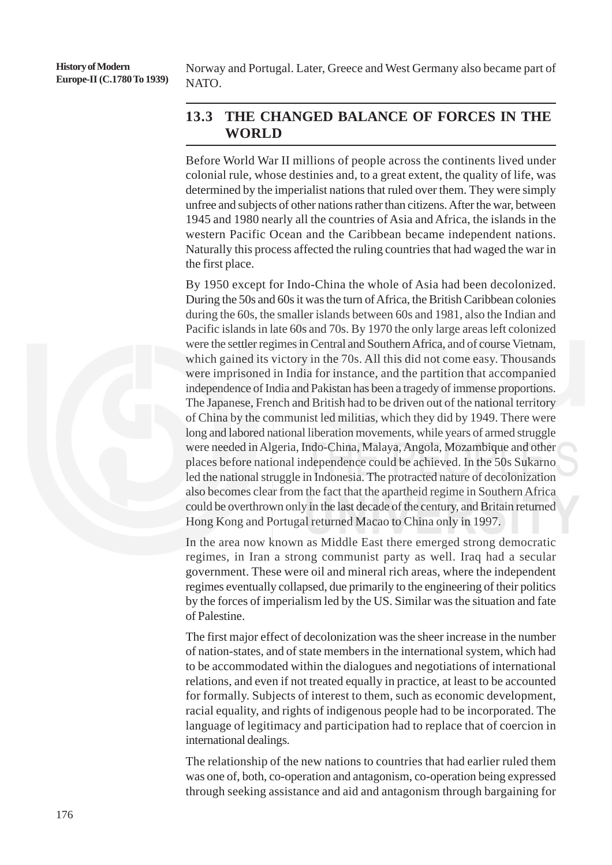**History of Modern Europe-II (C.1780 To 1939)** Norway and Portugal. Later, Greece and West Germany also became part of NATO.

### **13.3 THE CHANGED BALANCE OF FORCES IN THE WORLD**

Before World War II millions of people across the continents lived under colonial rule, whose destinies and, to a great extent, the quality of life, was determined by the imperialist nations that ruled over them. They were simply unfree and subjects of other nations rather than citizens. After the war, between 1945 and 1980 nearly all the countries of Asia and Africa, the islands in the western Pacific Ocean and the Caribbean became independent nations. Naturally this process affected the ruling countries that had waged the war in the first place.

By 1950 except for Indo-China the whole of Asia had been decolonized. During the 50s and 60s it was the turn of Africa, the British Caribbean colonies during the 60s, the smaller islands between 60s and 1981, also the Indian and Pacific islands in late 60s and 70s. By 1970 the only large areas left colonized were the settler regimes in Central and Southern Africa, and of course Vietnam, which gained its victory in the 70s. All this did not come easy. Thousands were imprisoned in India for instance, and the partition that accompanied independence of India and Pakistan has been a tragedy of immense proportions. The Japanese, French and British had to be driven out of the national territory of China by the communist led militias, which they did by 1949. There were long and labored national liberation movements, while years of armed struggle were needed in Algeria, Indo-China, Malaya, Angola, Mozambique and other places before national independence could be achieved. In the 50s Sukarno led the national struggle in Indonesia. The protracted nature of decolonization also becomes clear from the fact that the apartheid regime in Southern Africa could be overthrown only in the last decade of the century, and Britain returned Hong Kong and Portugal returned Macao to China only in 1997.

In the area now known as Middle East there emerged strong democratic regimes, in Iran a strong communist party as well. Iraq had a secular government. These were oil and mineral rich areas, where the independent regimes eventually collapsed, due primarily to the engineering of their politics by the forces of imperialism led by the US. Similar was the situation and fate of Palestine.

The first major effect of decolonization was the sheer increase in the number of nation-states, and of state members in the international system, which had to be accommodated within the dialogues and negotiations of international relations, and even if not treated equally in practice, at least to be accounted for formally. Subjects of interest to them, such as economic development, racial equality, and rights of indigenous people had to be incorporated. The language of legitimacy and participation had to replace that of coercion in international dealings.

The relationship of the new nations to countries that had earlier ruled them was one of, both, co-operation and antagonism, co-operation being expressed through seeking assistance and aid and antagonism through bargaining for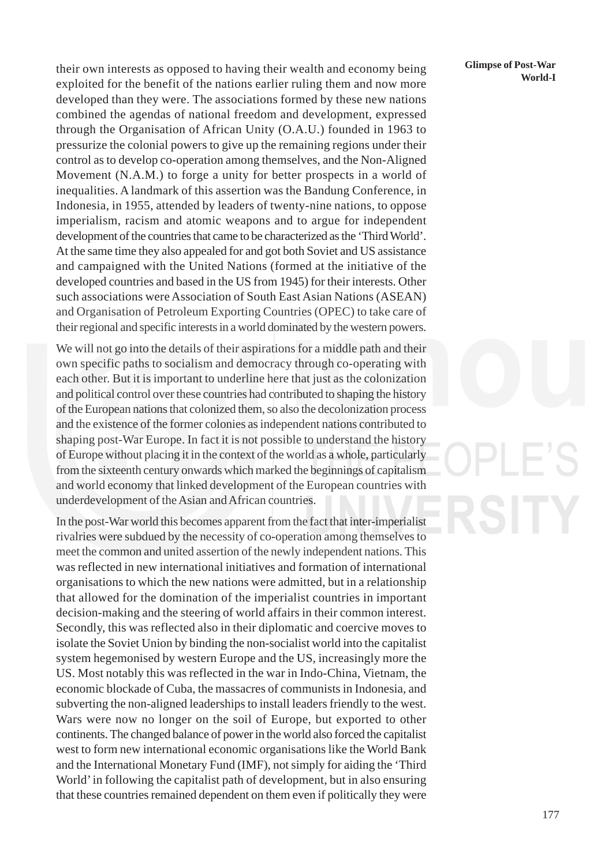**EXECUTE:** their own interests as opposed to having their wealth and economy being **Climpse of Post-War** World-I exploited for the benefit of the nations earlier ruling them and now more developed than they were. The associations formed by these new nations combined the agendas of national freedom and development, expressed through the Organisation of African Unity (O.A.U.) founded in 1963 to pressurize the colonial powers to give up the remaining regions under their control as to develop co-operation among themselves, and the Non-Aligned Movement (N.A.M.) to forge a unity for better prospects in a world of inequalities. A landmark of this assertion was the Bandung Conference, in Indonesia, in 1955, attended by leaders of twenty-nine nations, to oppose imperialism, racism and atomic weapons and to argue for independent development of the countries that came to be characterized as the 'Third World'. At the same time they also appealed for and got both Soviet and US assistance and campaigned with the United Nations (formed at the initiative of the developed countries and based in the US from 1945) for their interests. Other such associations were Association of South East Asian Nations (ASEAN) and Organisation of Petroleum Exporting Countries (OPEC) to take care of their regional and specific interests in a world dominated by the western powers.

We will not go into the details of their aspirations for a middle path and their own specific paths to socialism and democracy through co-operating with each other. But it is important to underline here that just as the colonization and political control over these countries had contributed to shaping the history of the European nations that colonized them, so also the decolonization process and the existence of the former colonies as independent nations contributed to shaping post-War Europe. In fact it is not possible to understand the history of Europe without placing it in the context of the world as a whole, particularly from the sixteenth century onwards which marked the beginnings of capitalism and world economy that linked development of the European countries with underdevelopment of the Asian and African countries.

In the post-War world this becomes apparent from the fact that inter-imperialist rivalries were subdued by the necessity of co-operation among themselves to meet the common and united assertion of the newly independent nations. This was reflected in new international initiatives and formation of international organisations to which the new nations were admitted, but in a relationship that allowed for the domination of the imperialist countries in important decision-making and the steering of world affairs in their common interest. Secondly, this was reflected also in their diplomatic and coercive moves to isolate the Soviet Union by binding the non-socialist world into the capitalist system hegemonised by western Europe and the US, increasingly more the US. Most notably this was reflected in the war in Indo-China, Vietnam, the economic blockade of Cuba, the massacres of communists in Indonesia, and subverting the non-aligned leaderships to install leaders friendly to the west. Wars were now no longer on the soil of Europe, but exported to other continents. The changed balance of power in the world also forced the capitalist west to form new international economic organisations like the World Bank and the International Monetary Fund (IMF), not simply for aiding the 'Third World' in following the capitalist path of development, but in also ensuring that these countries remained dependent on them even if politically they were

# **Glimpse of Post-War**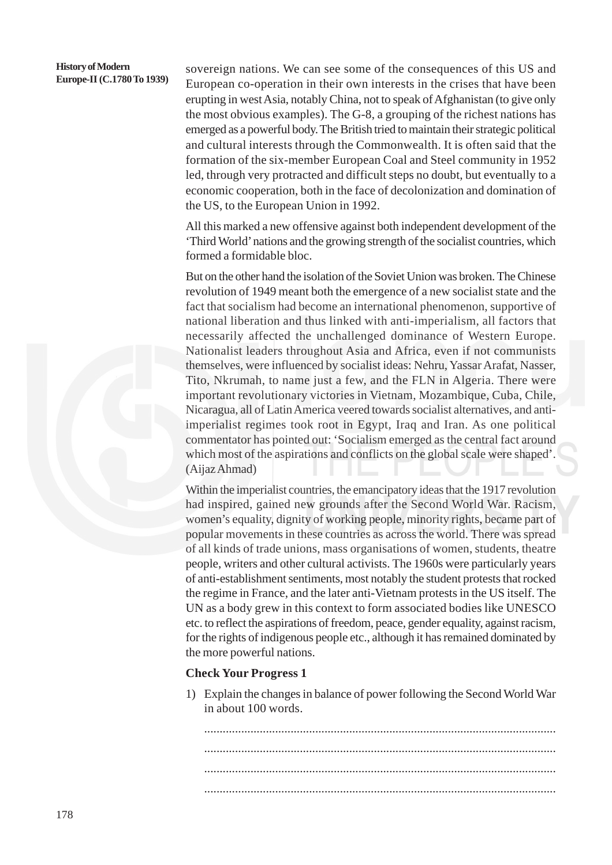# **History of Modern**

**Europe-II (C.1780 To 1939)** sovereign nations. We can see some of the consequences of this US and **Europe-II (C.1780 To 1939)** European co operation in their own interests in the crises that have been European co-operation in their own interests in the crises that have been erupting in west Asia, notably China, not to speak of Afghanistan (to give only the most obvious examples). The G-8, a grouping of the richest nations has emerged as a powerful body. The British tried to maintain their strategic political and cultural interests through the Commonwealth. It is often said that the formation of the six-member European Coal and Steel community in 1952 led, through very protracted and difficult steps no doubt, but eventually to a economic cooperation, both in the face of decolonization and domination of the US, to the European Union in 1992.

> All this marked a new offensive against both independent development of the 'Third World' nations and the growing strength of the socialist countries, which formed a formidable bloc.

> But on the other hand the isolation of the Soviet Union was broken. The Chinese revolution of 1949 meant both the emergence of a new socialist state and the fact that socialism had become an international phenomenon, supportive of national liberation and thus linked with anti-imperialism, all factors that necessarily affected the unchallenged dominance of Western Europe. Nationalist leaders throughout Asia and Africa, even if not communists themselves, were influenced by socialist ideas: Nehru, Yassar Arafat, Nasser, Tito, Nkrumah, to name just a few, and the FLN in Algeria. There were important revolutionary victories in Vietnam, Mozambique, Cuba, Chile, Nicaragua, all of Latin America veered towards socialist alternatives, and antiimperialist regimes took root in Egypt, Iraq and Iran. As one political commentator has pointed out: 'Socialism emerged as the central fact around which most of the aspirations and conflicts on the global scale were shaped'. (Aijaz Ahmad)

> Within the imperialist countries, the emancipatory ideas that the 1917 revolution had inspired, gained new grounds after the Second World War. Racism, women's equality, dignity of working people, minority rights, became part of popular movements in these countries as across the world. There was spread of all kinds of trade unions, mass organisations of women, students, theatre people, writers and other cultural activists. The 1960s were particularly years of anti-establishment sentiments, most notably the student protests that rocked the regime in France, and the later anti-Vietnam protests in the US itself. The UN as a body grew in this context to form associated bodies like UNESCO etc. to reflect the aspirations of freedom, peace, gender equality, against racism, for the rights of indigenous people etc., although it has remained dominated by the more powerful nations.

#### **Check Your Progress 1**

1) Explain the changes in balance of power following the Second World War in about 100 words.

.................................................................................................................. .................................................................................................................. .................................................................................................................. ..................................................................................................................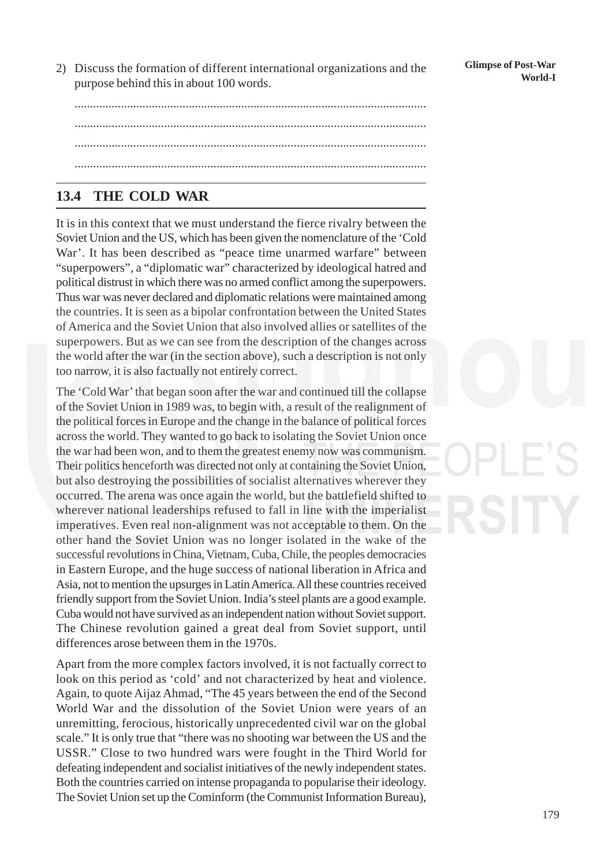2) Discuss the formation of different international organizations and the **Glimpse of Post-War**<br>World-I purpose behind this in about 100 words.

179

.................................................................................................................. .................................................................................................................. .................................................................................................................. ..................................................................................................................

# **13.4 THE COLD WAR**

It is in this context that we must understand the fierce rivalry between the Soviet Union and the US, which has been given the nomenclature of the 'Cold War'. It has been described as "peace time unarmed warfare" between "superpowers", a "diplomatic war" characterized by ideological hatred and political distrust in which there was no armed conflict among the superpowers. Thus war was never declared and diplomatic relations were maintained among the countries. It is seen as a bipolar confrontation between the United States of America and the Soviet Union that also involved allies or satellites of the superpowers. But as we can see from the description of the changes across the world after the war (in the section above), such a description is not only too narrow, it is also factually not entirely correct.

The 'Cold War' that began soon after the war and continued till the collapse of the Soviet Union in 1989 was, to begin with, a result of the realignment of the political forces in Europe and the change in the balance of political forces across the world. They wanted to go back to isolating the Soviet Union once the war had been won, and to them the greatest enemy now was communism. Their politics henceforth was directed not only at containing the Soviet Union, but also destroying the possibilities of socialist alternatives wherever they occurred. The arena was once again the world, but the battlefield shifted to wherever national leaderships refused to fall in line with the imperialist imperatives. Even real non-alignment was not acceptable to them. On the other hand the Soviet Union was no longer isolated in the wake of the successful revolutions in China, Vietnam, Cuba, Chile, the peoples democracies in Eastern Europe, and the huge success of national liberation in Africa and Asia, not to mention the upsurges in Latin America. All these countries received friendly support from the Soviet Union. India's steel plants are a good example. Cuba would not have survived as an independent nation without Soviet support. The Chinese revolution gained a great deal from Soviet support, until differences arose between them in the 1970s.

Apart from the more complex factors involved, it is not factually correct to look on this period as 'cold' and not characterized by heat and violence. Again, to quote Aijaz Ahmad, "The 45 years between the end of the Second World War and the dissolution of the Soviet Union were years of an unremitting, ferocious, historically unprecedented civil war on the global scale." It is only true that "there was no shooting war between the US and the USSR." Close to two hundred wars were fought in the Third World for defeating independent and socialist initiatives of the newly independent states. Both the countries carried on intense propaganda to popularise their ideology. The Soviet Union set up the Cominform (the Communist Information Bureau),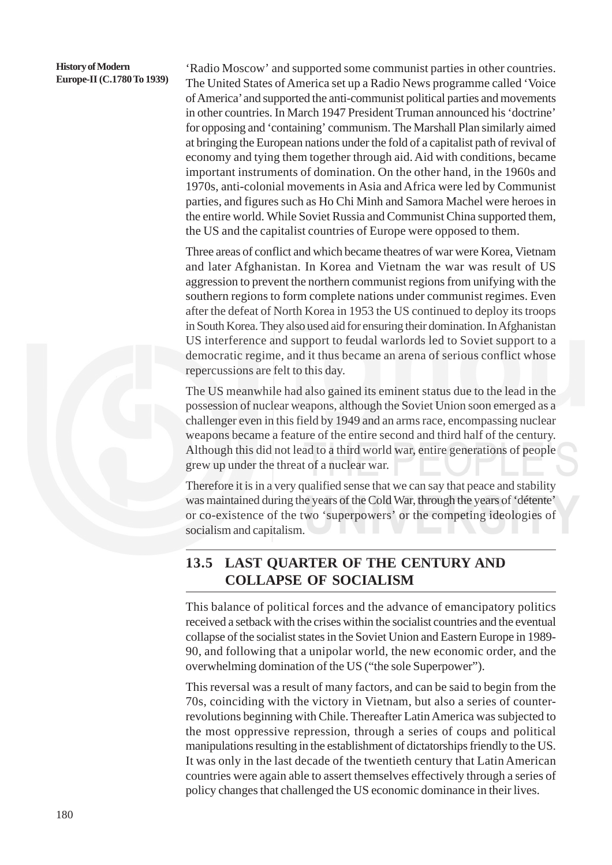#### **History of Modern Europe-II (C.1780 To 1939)**

'Radio Moscow' and supported some communist parties in other countries. The United States of America set up a Radio News programme called 'Voice of America' and supported the anti-communist political parties and movements in other countries. In March 1947 President Truman announced his 'doctrine' for opposing and 'containing' communism. The Marshall Plan similarly aimed at bringing the European nations under the fold of a capitalist path of revival of economy and tying them together through aid. Aid with conditions, became important instruments of domination. On the other hand, in the 1960s and 1970s, anti-colonial movements in Asia and Africa were led by Communist parties, and figures such as Ho Chi Minh and Samora Machel were heroes in the entire world. While Soviet Russia and Communist China supported them, the US and the capitalist countries of Europe were opposed to them.

Three areas of conflict and which became theatres of war were Korea, Vietnam and later Afghanistan. In Korea and Vietnam the war was result of US aggression to prevent the northern communist regions from unifying with the southern regions to form complete nations under communist regimes. Even after the defeat of North Korea in 1953 the US continued to deploy its troops in South Korea. They also used aid for ensuring their domination. In Afghanistan US interference and support to feudal warlords led to Soviet support to a democratic regime, and it thus became an arena of serious conflict whose repercussions are felt to this day.

The US meanwhile had also gained its eminent status due to the lead in the possession of nuclear weapons, although the Soviet Union soon emerged as a challenger even in this field by 1949 and an arms race, encompassing nuclear weapons became a feature of the entire second and third half of the century. Although this did not lead to a third world war, entire generations of people grew up under the threat of a nuclear war.

Therefore it is in a very qualified sense that we can say that peace and stability was maintained during the years of the Cold War, through the years of 'détente' or co-existence of the two 'superpowers' or the competing ideologies of socialism and capitalism.

### **13.5 LAST QUARTER OF THE CENTURY AND COLLAPSE OF SOCIALISM**

This balance of political forces and the advance of emancipatory politics received a setback with the crises within the socialist countries and the eventual collapse of the socialist states in the Soviet Union and Eastern Europe in 1989- 90, and following that a unipolar world, the new economic order, and the overwhelming domination of the US ("the sole Superpower").

This reversal was a result of many factors, and can be said to begin from the 70s, coinciding with the victory in Vietnam, but also a series of counterrevolutions beginning with Chile. Thereafter Latin America was subjected to the most oppressive repression, through a series of coups and political manipulations resulting in the establishment of dictatorships friendly to the US. It was only in the last decade of the twentieth century that Latin American countries were again able to assert themselves effectively through a series of policy changes that challenged the US economic dominance in their lives.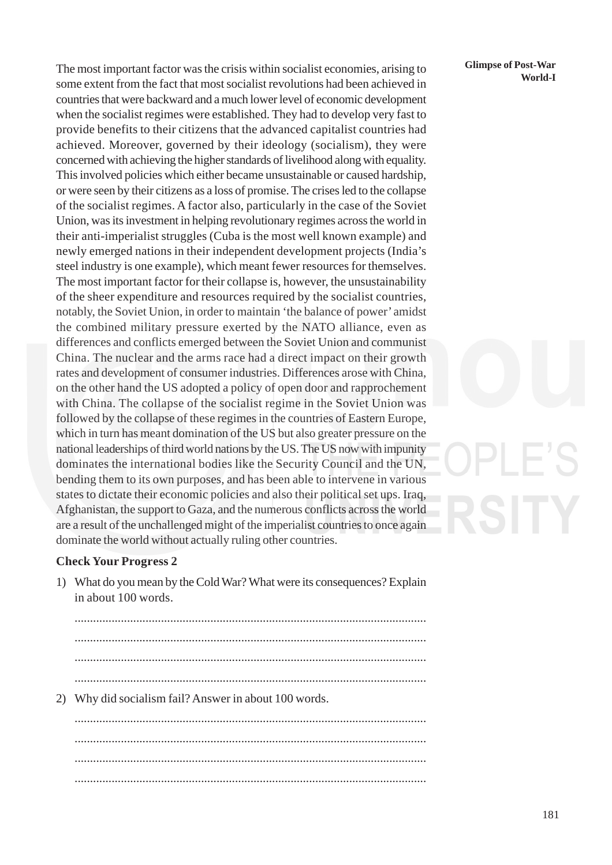The most important factor was the crisis within socialist economies, arising to **Glimpse of Post-War** World-I some extent from the fact that most socialist revolutions had been achieved in countries that were backward and a much lower level of economic development when the socialist regimes were established. They had to develop very fast to provide benefits to their citizens that the advanced capitalist countries had achieved. Moreover, governed by their ideology (socialism), they were concerned with achieving the higher standards of livelihood along with equality. This involved policies which either became unsustainable or caused hardship, or were seen by their citizens as a loss of promise. The crises led to the collapse of the socialist regimes. A factor also, particularly in the case of the Soviet Union, was its investment in helping revolutionary regimes across the world in their anti-imperialist struggles (Cuba is the most well known example) and newly emerged nations in their independent development projects (India's steel industry is one example), which meant fewer resources for themselves. The most important factor for their collapse is, however, the unsustainability of the sheer expenditure and resources required by the socialist countries, notably, the Soviet Union, in order to maintain 'the balance of power' amidst the combined military pressure exerted by the NATO alliance, even as differences and conflicts emerged between the Soviet Union and communist China. The nuclear and the arms race had a direct impact on their growth rates and development of consumer industries. Differences arose with China, on the other hand the US adopted a policy of open door and rapprochement with China. The collapse of the socialist regime in the Soviet Union was followed by the collapse of these regimes in the countries of Eastern Europe, which in turn has meant domination of the US but also greater pressure on the national leaderships of third world nations by the US. The US now with impunity dominates the international bodies like the Security Council and the UN, bending them to its own purposes, and has been able to intervene in various states to dictate their economic policies and also their political set ups. Iraq, Afghanistan, the support to Gaza, and the numerous conflicts across the world are a result of the unchallenged might of the imperialist countries to once again dominate the world without actually ruling other countries.

#### **Check Your Progress 2**

1) What do you mean by the Cold War? What were its consequences? Explain in about 100 words.

.................................................................................................................. .................................................................................................................. .................................................................................................................. .................................................................................................................. 2) Why did socialism fail? Answer in about 100 words. .................................................................................................................. .................................................................................................................. ..................................................................................................................

# **Glimpse of Post-War**